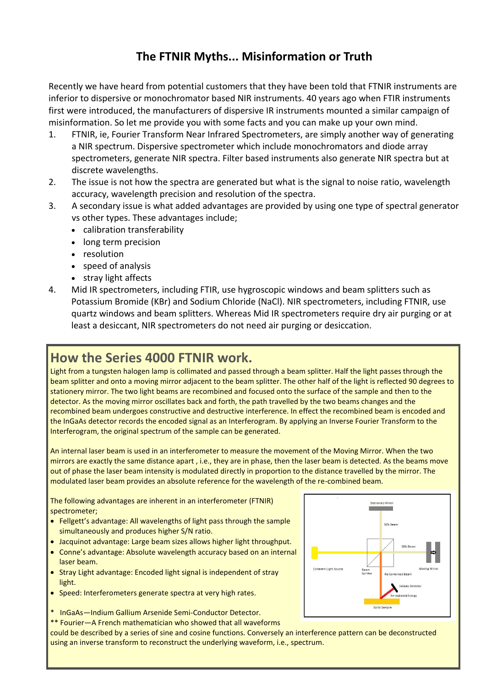## **The FTNIR Myths... Misinformation or Truth**

Recently we have heard from potential customers that they have been told that FTNIR instruments are inferior to dispersive or monochromator based NIR instruments. 40 years ago when FTIR instruments first were introduced, the manufacturers of dispersive IR instruments mounted a similar campaign of misinformation. So let me provide you with some facts and you can make up your own mind.

- 1. FTNIR, ie, Fourier Transform Near Infrared Spectrometers, are simply another way of generating a NIR spectrum. Dispersive spectrometer which include monochromators and diode array spectrometers, generate NIR spectra. Filter based instruments also generate NIR spectra but at discrete wavelengths.
- 2. The issue is not how the spectra are generated but what is the signal to noise ratio, wavelength accuracy, wavelength precision and resolution of the spectra.
- 3. A secondary issue is what added advantages are provided by using one type of spectral generator vs other types. These advantages include;
	- calibration transferability
	- long term precision
	- resolution
	- speed of analysis
	- stray light affects
- 4. Mid IR spectrometers, including FTIR, use hygroscopic windows and beam splitters such as Potassium Bromide (KBr) and Sodium Chloride (NaCl). NIR spectrometers, including FTNIR, use quartz windows and beam splitters. Whereas Mid IR spectrometers require dry air purging or at least a desiccant, NIR spectrometers do not need air purging or desiccation.

# **How the Series 4000 FTNIR work.**

Light from a tungsten halogen lamp is collimated and passed through a beam splitter. Half the light passes through the beam splitter and onto a moving mirror adjacent to the beam splitter. The other half of the light is reflected 90 degrees to stationery mirror. The two light beams are recombined and focused onto the surface of the sample and then to the detector. As the moving mirror oscillates back and forth, the path travelled by the two beams changes and the recombined beam undergoes constructive and destructive interference. In effect the recombined beam is encoded and the InGaAs detector records the encoded signal as an Interferogram. By applying an Inverse Fourier Transform to the Interferogram, the original spectrum of the sample can be generated.

An internal laser beam is used in an interferometer to measure the movement of the Moving Mirror. When the two mirrors are exactly the same distance apart , i.e., they are in phase, then the laser beam is detected. As the beams move out of phase the laser beam intensity is modulated directly in proportion to the distance travelled by the mirror. The modulated laser beam provides an absolute reference for the wavelength of the re-combined beam.

The following advantages are inherent in an interferometer (FTNIR) spectrometer;

- Fellgett's advantage: All wavelengths of light pass through the sample simultaneously and produces higher S/N ratio.
- Jacquinot advantage: Large beam sizes allows higher light throughput.
- Conne's advantage: Absolute wavelength accuracy based on an internal laser beam.
- Stray Light advantage: Encoded light signal is independent of stray light.
- Speed: Interferometers generate spectra at very high rates.
- \* InGaAs—Indium Gallium Arsenide Semi-Conductor Detector.

\*\* Fourier—A French mathematician who showed that all waveforms

could be described by a series of sine and cosine functions. Conversely an interference pattern can be deconstructed using an inverse transform to reconstruct the underlying waveform, i.e., spectrum.

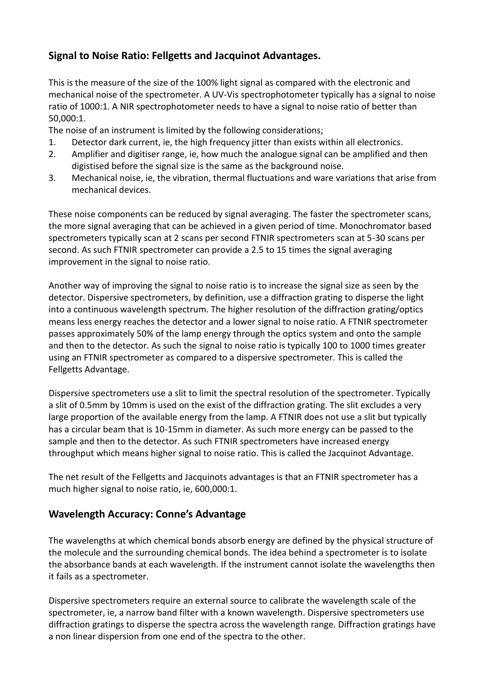## **Signal to Noise Ratio: Fellgetts and Jacquinot Advantages.**

This is the measure of the size of the 100% light signal as compared with the electronic and mechanical noise of the spectrometer. A UV-Vis spectrophotometer typically has a signal to noise ratio of 1000:1. A NIR spectrophotometer needs to have a signal to noise ratio of better than 50,000:1.

The noise of an instrument is limited by the following considerations;

- 1. Detector dark current, ie, the high frequency jitter than exists within all electronics.
- 2. Amplifier and digitiser range, ie, how much the analogue signal can be amplified and then digistised before the signal size is the same as the background noise.
- 3. Mechanical noise, ie, the vibration, thermal fluctuations and ware variations that arise from mechanical devices.

These noise components can be reduced by signal averaging. The faster the spectrometer scans, the more signal averaging that can be achieved in a given period of time. Monochromator based spectrometers typically scan at 2 scans per second FTNIR spectrometers scan at 5-30 scans per second. As such FTNIR spectrometer can provide a 2.5 to 15 times the signal averaging improvement in the signal to noise ratio.

Another way of improving the signal to noise ratio is to increase the signal size as seen by the detector. Dispersive spectrometers, by definition, use a diffraction grating to disperse the light into a continuous wavelength spectrum. The higher resolution of the diffraction grating/optics means less energy reaches the detector and a lower signal to noise ratio. A FTNIR spectrometer passes approximately 50% of the lamp energy through the optics system and onto the sample and then to the detector. As such the signal to noise ratio is typically 100 to 1000 times greater using an FTNIR spectrometer as compared to a dispersive spectrometer. This is called the Fellgetts Advantage.

Dispersive spectrometers use a slit to limit the spectral resolution of the spectrometer. Typically a slit of 0.5mm by 10mm is used on the exist of the diffraction grating. The slit excludes a very large proportion of the available energy from the lamp. A FTNIR does not use a slit but typically has a circular beam that is 10-15mm in diameter. As such more energy can be passed to the sample and then to the detector. As such FTNIR spectrometers have increased energy throughput which means higher signal to noise ratio. This is called the Jacquinot Advantage.

The net result of the Fellgetts and Jacquinots advantages is that an FTNIR spectrometer has a much higher signal to noise ratio, ie, 600,000:1.

## **Wavelength Accuracy: Conne's Advantage**

The wavelengths at which chemical bonds absorb energy are defined by the physical structure of the molecule and the surrounding chemical bonds. The idea behind a spectrometer is to isolate the absorbance bands at each wavelength. If the instrument cannot isolate the wavelengths then it fails as a spectrometer.

Dispersive spectrometers require an external source to calibrate the wavelength scale of the spectrometer, ie, a narrow band filter with a known wavelength. Dispersive spectrometers use diffraction gratings to disperse the spectra across the wavelength range. Diffraction gratings have a non linear dispersion from one end of the spectra to the other.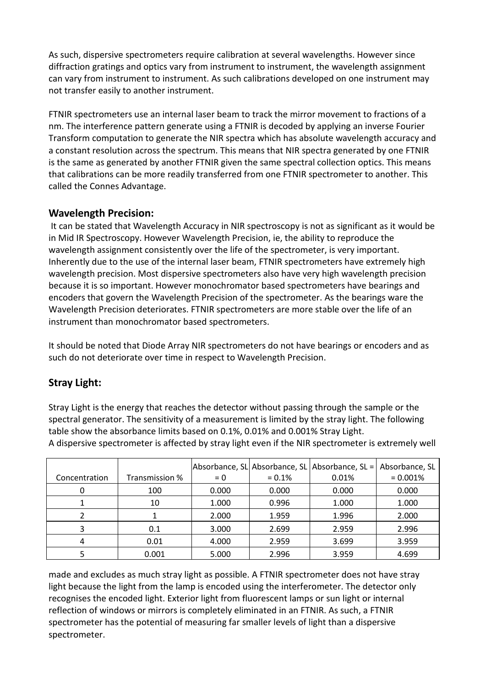As such, dispersive spectrometers require calibration at several wavelengths. However since diffraction gratings and optics vary from instrument to instrument, the wavelength assignment can vary from instrument to instrument. As such calibrations developed on one instrument may not transfer easily to another instrument.

FTNIR spectrometers use an internal laser beam to track the mirror movement to fractions of a nm. The interference pattern generate using a FTNIR is decoded by applying an inverse Fourier Transform computation to generate the NIR spectra which has absolute wavelength accuracy and a constant resolution across the spectrum. This means that NIR spectra generated by one FTNIR is the same as generated by another FTNIR given the same spectral collection optics. This means that calibrations can be more readily transferred from one FTNIR spectrometer to another. This called the Connes Advantage.

#### **Wavelength Precision:**

It can be stated that Wavelength Accuracy in NIR spectroscopy is not as significant as it would be in Mid IR Spectroscopy. However Wavelength Precision, ie, the ability to reproduce the wavelength assignment consistently over the life of the spectrometer, is very important. Inherently due to the use of the internal laser beam, FTNIR spectrometers have extremely high wavelength precision. Most dispersive spectrometers also have very high wavelength precision because it is so important. However monochromator based spectrometers have bearings and encoders that govern the Wavelength Precision of the spectrometer. As the bearings ware the Wavelength Precision deteriorates. FTNIR spectrometers are more stable over the life of an instrument than monochromator based spectrometers.

It should be noted that Diode Array NIR spectrometers do not have bearings or encoders and as such do not deteriorate over time in respect to Wavelength Precision.

## **Stray Light:**

Stray Light is the energy that reaches the detector without passing through the sample or the spectral generator. The sensitivity of a measurement is limited by the stray light. The following table show the absorbance limits based on 0.1%, 0.01% and 0.001% Stray Light. A dispersive spectrometer is affected by stray light even if the NIR spectrometer is extremely well

|               |                |       |          | Absorbance, SL Absorbance, SL Absorbance, SL = | Absorbance, SL |
|---------------|----------------|-------|----------|------------------------------------------------|----------------|
| Concentration | Transmission % | $= 0$ | $= 0.1%$ | 0.01%                                          | $= 0.001%$     |
|               | 100            | 0.000 | 0.000    | 0.000                                          | 0.000          |
|               | 10             | 1.000 | 0.996    | 1.000                                          | 1.000          |
|               |                | 2.000 | 1.959    | 1.996                                          | 2.000          |
| 3             | 0.1            | 3.000 | 2.699    | 2.959                                          | 2.996          |
| 4             | 0.01           | 4.000 | 2.959    | 3.699                                          | 3.959          |
|               | 0.001          | 5.000 | 2.996    | 3.959                                          | 4.699          |

made and excludes as much stray light as possible. A FTNIR spectrometer does not have stray light because the light from the lamp is encoded using the interferometer. The detector only recognises the encoded light. Exterior light from fluorescent lamps or sun light or internal reflection of windows or mirrors is completely eliminated in an FTNIR. As such, a FTNIR spectrometer has the potential of measuring far smaller levels of light than a dispersive spectrometer.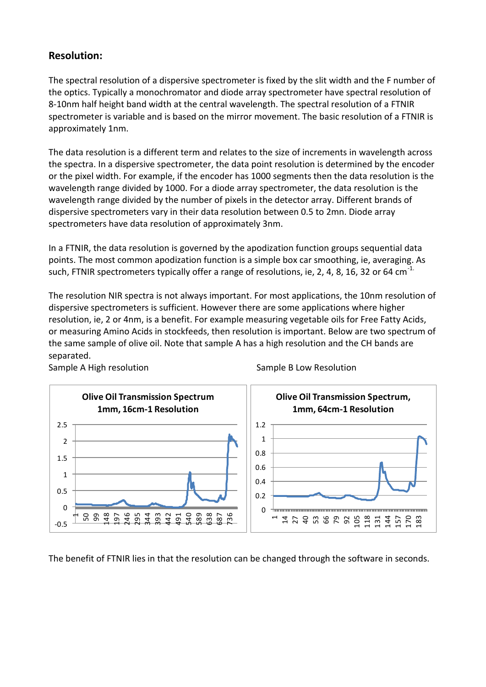#### **Resolution:**

The spectral resolution of a dispersive spectrometer is fixed by the slit width and the F number of the optics. Typically a monochromator and diode array spectrometer have spectral resolution of 8-10nm half height band width at the central wavelength. The spectral resolution of a FTNIR spectrometer is variable and is based on the mirror movement. The basic resolution of a FTNIR is approximately 1nm.

The data resolution is a different term and relates to the size of increments in wavelength across the spectra. In a dispersive spectrometer, the data point resolution is determined by the encoder or the pixel width. For example, if the encoder has 1000 segments then the data resolution is the wavelength range divided by 1000. For a diode array spectrometer, the data resolution is the wavelength range divided by the number of pixels in the detector array. Different brands of dispersive spectrometers vary in their data resolution between 0.5 to 2mn. Diode array spectrometers have data resolution of approximately 3nm.

In a FTNIR, the data resolution is governed by the apodization function groups sequential data points. The most common apodization function is a simple box car smoothing, ie, averaging. As such, FTNIR spectrometers typically offer a range of resolutions, ie, 2, 4, 8, 16, 32 or 64 cm<sup>-1.</sup>

The resolution NIR spectra is not always important. For most applications, the 10nm resolution of dispersive spectrometers is sufficient. However there are some applications where higher resolution, ie, 2 or 4nm, is a benefit. For example measuring vegetable oils for Free Fatty Acids, or measuring Amino Acids in stockfeeds, then resolution is important. Below are two spectrum of the same sample of olive oil. Note that sample A has a high resolution and the CH bands are separated.



Sample A High resolution Sample B Low Resolution

The benefit of FTNIR lies in that the resolution can be changed through the software in seconds.